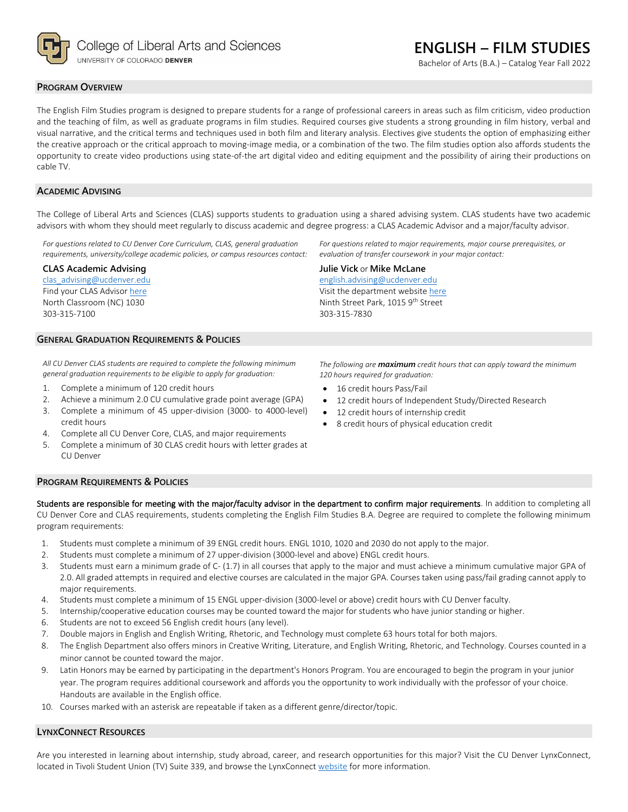

**PROGRAM OVERVIEW**

The English Film Studies program is designed to prepare students for a range of professional careers in areas such as film criticism, video production and the teaching of film, as well as graduate programs in film studies. Required courses give students a strong grounding in film history, verbal and visual narrative, and the critical terms and techniques used in both film and literary analysis. Electives give students the option of emphasizing either the creative approach or the critical approach to moving-image media, or a combination of the two. The film studies option also affords students the opportunity to create video productions using state-of-the art digital video and editing equipment and the possibility of airing their productions on cable TV.

# **ACADEMIC ADVISING**

The College of Liberal Arts and Sciences (CLAS) supports students to graduation using a shared advising system. CLAS students have two academic advisors with whom they should meet regularly to discuss academic and degree progress: a CLAS Academic Advisor and a major/faculty advisor.

*For questions related to CU Denver Core Curriculum, CLAS, general graduation requirements, university/college academic policies, or campus resources contact:*

**CLAS Academic Advising**

[clas\\_advising@ucdenver.edu](mailto:clas_advising@ucdenver.edu) Find your CLAS Adviso[r here](https://clas.ucdenver.edu/advising/) North Classroom (NC) 1030 303-315-7100

# **GENERAL GRADUATION REQUIREMENTS & POLICIES**

*All CU Denver CLAS students are required to complete the following minimum general graduation requirements to be eligible to apply for graduation:*

- 1. Complete a minimum of 120 credit hours
- 2. Achieve a minimum 2.0 CU cumulative grade point average (GPA)
- 3. Complete a minimum of 45 upper-division (3000- to 4000-level) credit hours
- 4. Complete all CU Denver Core, CLAS, and major requirements
- 5. Complete a minimum of 30 CLAS credit hours with letter grades at CU Denver

## **PROGRAM REQUIREMENTS & POLICIES**

Students are responsible for meeting with the major/faculty advisor in the department to confirm major requirements. In addition to completing all CU Denver Core and CLAS requirements, students completing the English Film Studies B.A. Degree are required to complete the following minimum program requirements:

- 1. Students must complete a minimum of 39 ENGL credit hours. ENGL 1010, 1020 and 2030 do not apply to the major.
- 2. Students must complete a minimum of 27 upper-division (3000-level and above) ENGL credit hours.
- 3. Students must earn a minimum grade of C- (1.7) in all courses that apply to the major and must achieve a minimum cumulative major GPA of 2.0. All graded attempts in required and elective courses are calculated in the major GPA. Courses taken using pass/fail grading cannot apply to major requirements.
- 4. Students must complete a minimum of 15 ENGL upper-division (3000-level or above) credit hours with CU Denver faculty.
- 5. Internship/cooperative education courses may be counted toward the major for students who have junior standing or higher.
- 6. Students are not to exceed 56 English credit hours (any level).
- 7. Double majors in English and English Writing, Rhetoric, and Technology must complete 63 hours total for both majors.
- 8. The English Department also offers minors in Creative Writing, Literature, and English Writing, Rhetoric, and Technology. Courses counted in a minor cannot be counted toward the major.
- 9. Latin Honors may be earned by participating in the department's Honors Program. You are encouraged to begin the program in your junior year. The program requires additional coursework and affords you the opportunity to work individually with the professor of your choice. Handouts are available in the English office.
- 10. Courses marked with an asterisk are repeatable if taken as a different genre/director/topic.

#### **LYNXCONNECT RESOURCES**

Are you interested in learning about internship, study abroad, career, and research opportunities for this major? Visit the CU Denver LynxConnect, located in Tivoli Student Union (TV) Suite 339, and browse the LynxConnec[t website](http://www.ucdenver.edu/lynxconnect/Pages/default.aspx) for more information.

*For questions related to major requirements, major course prerequisites, or evaluation of transfer coursework in your major contact:*

**Julie Vick** or **Mike McLane** [english.advising@ucdenver.edu](mailto:english.advising@ucdenver.edu)

Visit the department websit[e here](https://clas.ucdenver.edu/english/english-film-studies) Ninth Street Park, 1015 9<sup>th</sup> Street 303-315-7830

*The following are maximum credit hours that can apply toward the minimum 120 hours required for graduation:*

- 16 credit hours Pass/Fail
- 12 credit hours of Independent Study/Directed Research
- 12 credit hours of internship credit
- 8 credit hours of physical education credit